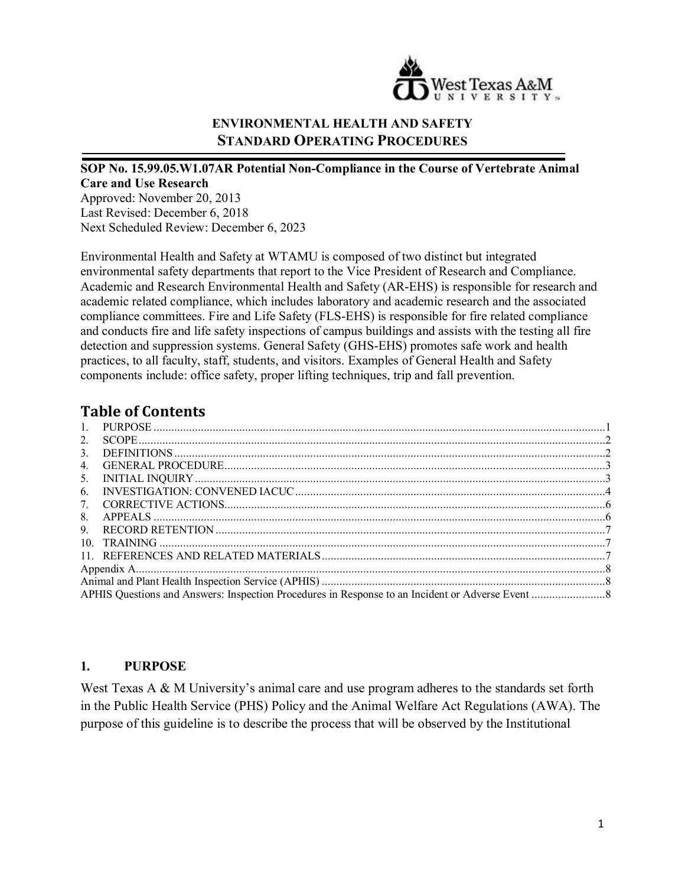

## **ENVIRONMENTAL HEALTH AND SAFETY STANDARD OPERATING PROCEDURES**

## **SOP No. 15.99.05.W1.07AR Potential Non-Compliance in the Course of Vertebrate Animal Care and Use Research**

Approved: November 20, 2013 Last Revised: December 6, 2018 Next Scheduled Review: December 6, 2023

Environmental Health and Safety at WTAMU is composed of two distinct but integrated environmental safety departments that report to the Vice President of Research and Compliance. Academic and Research Environmental Health and Safety (AR-EHS) is responsible for research and academic related compliance, which includes laboratory and academic research and the associated compliance committees. Fire and Life Safety (FLS-EHS) is responsible for fire related compliance and conducts fire and life safety inspections of campus buildings and assists with the testing all fire detection and suppression systems. General Safety (GHS-EHS) promotes safe work and health practices, to all faculty, staff, students, and visitors. Examples of General Health and Safety components include: office safety, proper lifting techniques, trip and fall prevention.

# **Table of Contents**

| 2.             |  |
|----------------|--|
| $\mathbf{3}$ . |  |
| 4.             |  |
| 5.             |  |
| 6.             |  |
| 7.             |  |
| 8.             |  |
| 9.             |  |
|                |  |
|                |  |
|                |  |
|                |  |
|                |  |

### <span id="page-0-0"></span>**1. PURPOSE**

West Texas A & M University's animal care and use program adheres to the standards set forth in the Public Health Service (PHS) Policy and the Animal Welfare Act Regulations (AWA). The purpose of this guideline is to describe the process that will be observed by the Institutional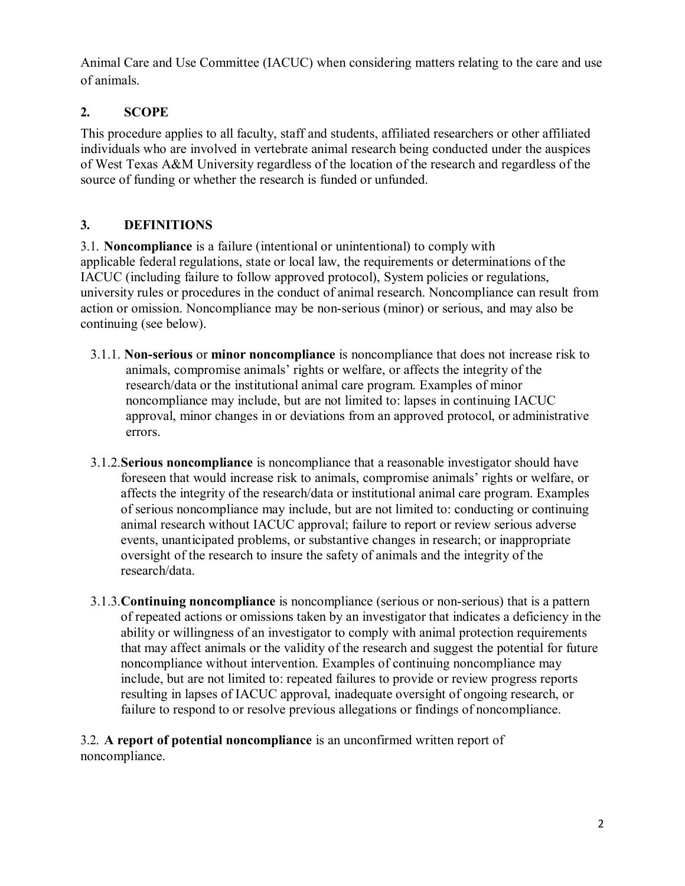Animal Care and Use Committee (IACUC) when considering matters relating to the care and use of animals.

# <span id="page-1-0"></span>**2. SCOPE**

This procedure applies to all faculty, staff and students, affiliated researchers or other affiliated individuals who are involved in vertebrate animal research being conducted under the auspices of West Texas A&M University regardless of the location of the research and regardless of the source of funding or whether the research is funded or unfunded.

# <span id="page-1-1"></span>**3. DEFINITIONS**

3.1. **Noncompliance** is a failure (intentional or unintentional) to comply with applicable federal regulations, state or local law, the requirements or determinations of the IACUC (including failure to follow approved protocol), System policies or regulations, university rules or procedures in the conduct of animal research. Noncompliance can result from action or omission. Noncompliance may be non-serious (minor) or serious, and may also be continuing (see below).

- 3.1.1. **Non-serious** or **minor noncompliance** is noncompliance that does not increase risk to animals, compromise animals' rights or welfare, or affects the integrity of the research/data or the institutional animal care program. Examples of minor noncompliance may include, but are not limited to: lapses in continuing IACUC approval, minor changes in or deviations from an approved protocol, or administrative errors.
- 3.1.2.**Serious noncompliance** is noncompliance that a reasonable investigator should have foreseen that would increase risk to animals, compromise animals' rights or welfare, or affects the integrity of the research/data or institutional animal care program. Examples of serious noncompliance may include, but are not limited to: conducting or continuing animal research without IACUC approval; failure to report or review serious adverse events, unanticipated problems, or substantive changes in research; or inappropriate oversight of the research to insure the safety of animals and the integrity of the research/data.
- 3.1.3.**Continuing noncompliance** is noncompliance (serious or non-serious) that is a pattern of repeated actions or omissions taken by an investigator that indicates a deficiency in the ability or willingness of an investigator to comply with animal protection requirements that may affect animals or the validity of the research and suggest the potential for future noncompliance without intervention. Examples of continuing noncompliance may include, but are not limited to: repeated failures to provide or review progress reports resulting in lapses of IACUC approval, inadequate oversight of ongoing research, or failure to respond to or resolve previous allegations or findings of noncompliance.

3.2. **A report of potential noncompliance** is an unconfirmed written report of noncompliance.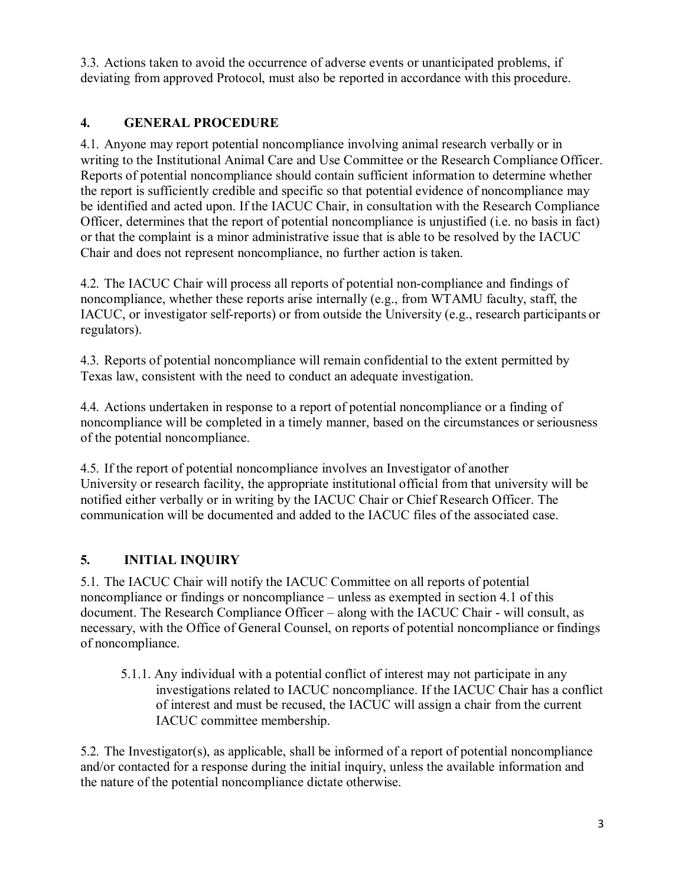3.3. Actions taken to avoid the occurrence of adverse events or unanticipated problems, if deviating from approved Protocol, must also be reported in accordance with this procedure.

## <span id="page-2-0"></span>**4. GENERAL PROCEDURE**

4.1. Anyone may report potential noncompliance involving animal research verbally or in writing to the Institutional Animal Care and Use Committee or the Research Compliance Officer. Reports of potential noncompliance should contain sufficient information to determine whether the report is sufficiently credible and specific so that potential evidence of noncompliance may be identified and acted upon. If the IACUC Chair, in consultation with the Research Compliance Officer, determines that the report of potential noncompliance is unjustified (i.e. no basis in fact) or that the complaint is a minor administrative issue that is able to be resolved by the IACUC Chair and does not represent noncompliance, no further action is taken.

4.2. The IACUC Chair will process all reports of potential non-compliance and findings of noncompliance, whether these reports arise internally (e.g., from WTAMU faculty, staff, the IACUC, or investigator self-reports) or from outside the University (e.g., research participants or regulators).

4.3. Reports of potential noncompliance will remain confidential to the extent permitted by Texas law, consistent with the need to conduct an adequate investigation.

4.4. Actions undertaken in response to a report of potential noncompliance or a finding of noncompliance will be completed in a timely manner, based on the circumstances or seriousness of the potential noncompliance.

4.5. If the report of potential noncompliance involves an Investigator of another University or research facility, the appropriate institutional official from that university will be notified either verbally or in writing by the IACUC Chair or Chief Research Officer. The communication will be documented and added to the IACUC files of the associated case.

# <span id="page-2-1"></span>**5. INITIAL INQUIRY**

5.1. The IACUC Chair will notify the IACUC Committee on all reports of potential noncompliance or findings or noncompliance – unless as exempted in section 4.1 of this document. The Research Compliance Officer – along with the IACUC Chair - will consult, as necessary, with the Office of General Counsel, on reports of potential noncompliance or findings of noncompliance.

5.1.1. Any individual with a potential conflict of interest may not participate in any investigations related to IACUC noncompliance. If the IACUC Chair has a conflict of interest and must be recused, the IACUC will assign a chair from the current IACUC committee membership.

5.2. The Investigator(s), as applicable, shall be informed of a report of potential noncompliance and/or contacted for a response during the initial inquiry, unless the available information and the nature of the potential noncompliance dictate otherwise.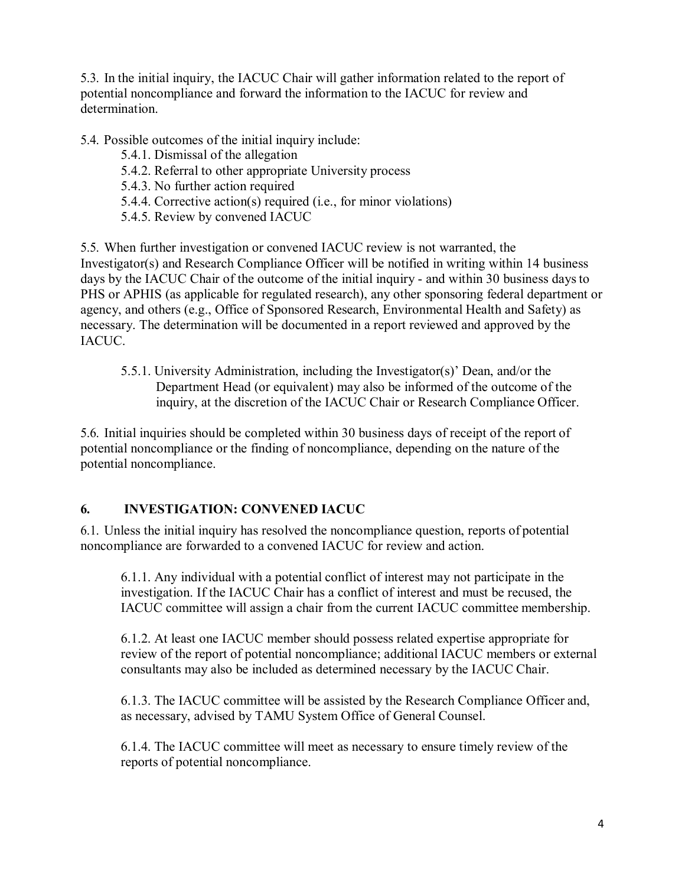5.3. In the initial inquiry, the IACUC Chair will gather information related to the report of potential noncompliance and forward the information to the IACUC for review and determination.

5.4. Possible outcomes of the initial inquiry include:

- 5.4.1. Dismissal of the allegation
- 5.4.2. Referral to other appropriate University process
- 5.4.3. No further action required
- 5.4.4. Corrective action(s) required (i.e., for minor violations)
- 5.4.5. Review by convened IACUC

5.5. When further investigation or convened IACUC review is not warranted, the Investigator(s) and Research Compliance Officer will be notified in writing within 14 business days by the IACUC Chair of the outcome of the initial inquiry - and within 30 business daysto PHS or APHIS (as applicable for regulated research), any other sponsoring federal department or agency, and others (e.g., Office of Sponsored Research, Environmental Health and Safety) as necessary. The determination will be documented in a report reviewed and approved by the IACUC.

5.5.1. University Administration, including the Investigator(s)' Dean, and/or the Department Head (or equivalent) may also be informed of the outcome of the inquiry, at the discretion of the IACUC Chair or Research Compliance Officer.

5.6. Initial inquiries should be completed within 30 business days of receipt of the report of potential noncompliance or the finding of noncompliance, depending on the nature of the potential noncompliance.

## <span id="page-3-0"></span>**6. INVESTIGATION: CONVENED IACUC**

6.1. Unless the initial inquiry has resolved the noncompliance question, reports of potential noncompliance are forwarded to a convened IACUC for review and action.

6.1.1. Any individual with a potential conflict of interest may not participate in the investigation. If the IACUC Chair has a conflict of interest and must be recused, the IACUC committee will assign a chair from the current IACUC committee membership.

6.1.2. At least one IACUC member should possess related expertise appropriate for review of the report of potential noncompliance; additional IACUC members or external consultants may also be included as determined necessary by the IACUC Chair.

6.1.3. The IACUC committee will be assisted by the Research Compliance Officer and, as necessary, advised by TAMU System Office of General Counsel.

6.1.4. The IACUC committee will meet as necessary to ensure timely review of the reports of potential noncompliance.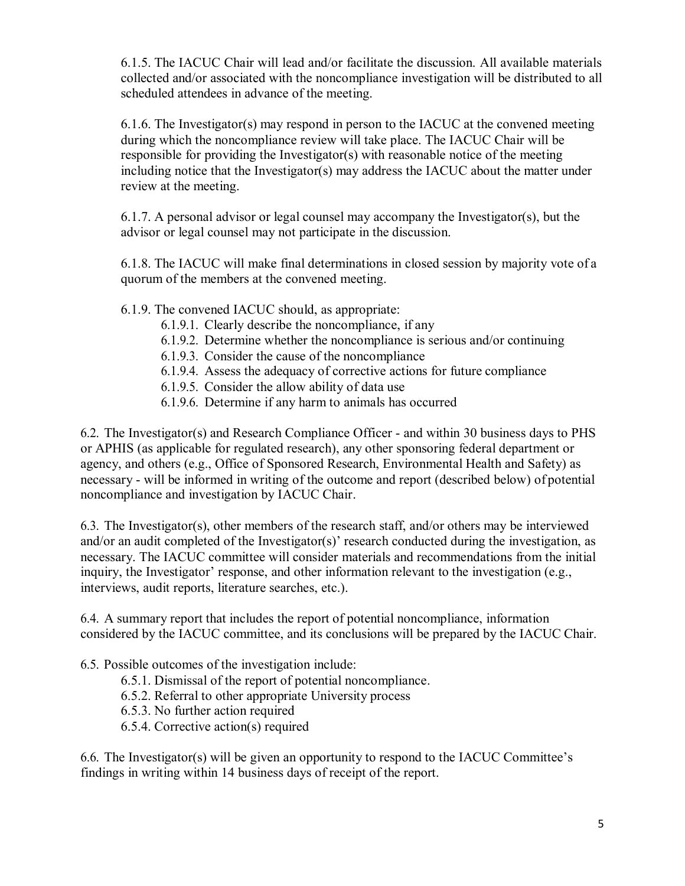6.1.5. The IACUC Chair will lead and/or facilitate the discussion. All available materials collected and/or associated with the noncompliance investigation will be distributed to all scheduled attendees in advance of the meeting.

6.1.6. The Investigator(s) may respond in person to the IACUC at the convened meeting during which the noncompliance review will take place. The IACUC Chair will be responsible for providing the Investigator(s) with reasonable notice of the meeting including notice that the Investigator(s) may address the IACUC about the matter under review at the meeting.

6.1.7. A personal advisor or legal counsel may accompany the Investigator(s), but the advisor or legal counsel may not participate in the discussion.

6.1.8. The IACUC will make final determinations in closed session by majority vote of a quorum of the members at the convened meeting.

### 6.1.9. The convened IACUC should, as appropriate:

- 6.1.9.1. Clearly describe the noncompliance, if any
- 6.1.9.2. Determine whether the noncompliance is serious and/or continuing
- 6.1.9.3. Consider the cause of the noncompliance
- 6.1.9.4. Assess the adequacy of corrective actions for future compliance
- 6.1.9.5. Consider the allow ability of data use
- 6.1.9.6. Determine if any harm to animals has occurred

6.2. The Investigator(s) and Research Compliance Officer - and within 30 business days to PHS or APHIS (as applicable for regulated research), any other sponsoring federal department or agency, and others (e.g., Office of Sponsored Research, Environmental Health and Safety) as necessary - will be informed in writing of the outcome and report (described below) of potential noncompliance and investigation by IACUC Chair.

6.3. The Investigator(s), other members of the research staff, and/or others may be interviewed and/or an audit completed of the Investigator(s)' research conducted during the investigation, as necessary. The IACUC committee will consider materials and recommendations from the initial inquiry, the Investigator' response, and other information relevant to the investigation (e.g., interviews, audit reports, literature searches, etc.).

6.4. A summary report that includes the report of potential noncompliance, information considered by the IACUC committee, and its conclusions will be prepared by the IACUC Chair.

6.5. Possible outcomes of the investigation include:

- 6.5.1. Dismissal of the report of potential noncompliance.
- 6.5.2. Referral to other appropriate University process
- 6.5.3. No further action required
- 6.5.4. Corrective action(s) required

6.6. The Investigator(s) will be given an opportunity to respond to the IACUC Committee's findings in writing within 14 business days of receipt of the report.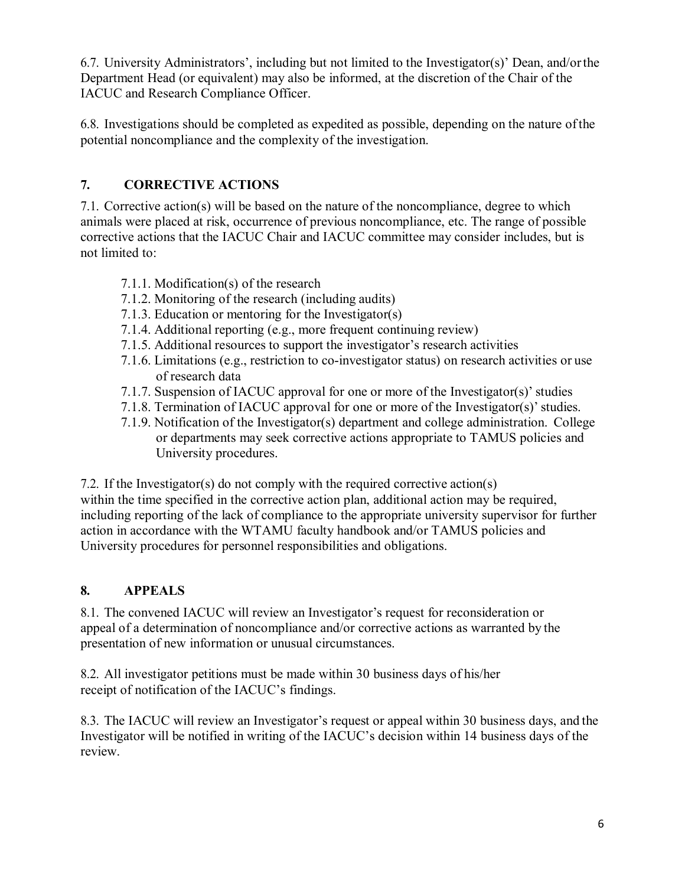6.7. University Administrators', including but not limited to the Investigator(s)' Dean, and/orthe Department Head (or equivalent) may also be informed, at the discretion of the Chair of the IACUC and Research Compliance Officer.

6.8. Investigations should be completed as expedited as possible, depending on the nature ofthe potential noncompliance and the complexity of the investigation.

# <span id="page-5-0"></span>**7. CORRECTIVE ACTIONS**

7.1. Corrective action(s) will be based on the nature of the noncompliance, degree to which animals were placed at risk, occurrence of previous noncompliance, etc. The range of possible corrective actions that the IACUC Chair and IACUC committee may consider includes, but is not limited to:

- 7.1.1. Modification(s) of the research
- 7.1.2. Monitoring of the research (including audits)
- 7.1.3. Education or mentoring for the Investigator(s)
- 7.1.4. Additional reporting (e.g., more frequent continuing review)
- 7.1.5. Additional resources to support the investigator's research activities
- 7.1.6. Limitations (e.g., restriction to co-investigator status) on research activities or use of research data
- 7.1.7. Suspension of IACUC approval for one or more of the Investigator(s)'studies
- 7.1.8. Termination of IACUC approval for one or more of the Investigator(s)'studies.
- 7.1.9. Notification of the Investigator(s) department and college administration. College or departments may seek corrective actions appropriate to TAMUS policies and University procedures.

7.2. If the Investigator(s) do not comply with the required corrective action(s) within the time specified in the corrective action plan, additional action may be required, including reporting of the lack of compliance to the appropriate university supervisor for further action in accordance with the WTAMU faculty handbook and/or TAMUS policies and University procedures for personnel responsibilities and obligations.

# <span id="page-5-1"></span>**8. APPEALS**

8.1. The convened IACUC will review an Investigator's request for reconsideration or appeal of a determination of noncompliance and/or corrective actions as warranted by the presentation of new information or unusual circumstances.

8.2. All investigator petitions must be made within 30 business days of his/her receipt of notification of the IACUC's findings.

8.3. The IACUC will review an Investigator's request or appeal within 30 business days, and the Investigator will be notified in writing of the IACUC's decision within 14 business days of the review.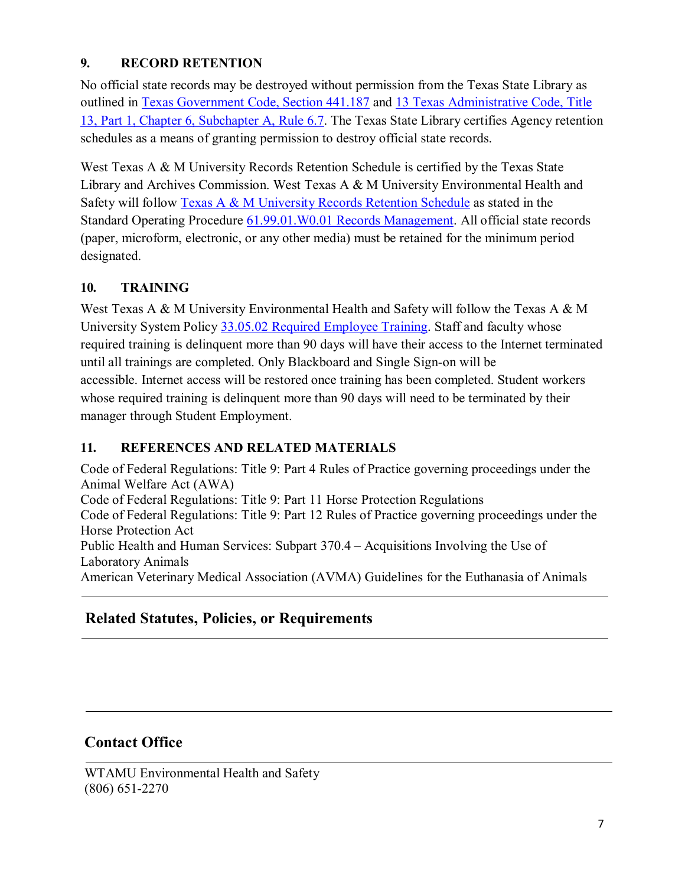## <span id="page-6-0"></span>**9. RECORD RETENTION**

No official state records may be destroyed without permission from the Texas State Library as outlined in [Texas Government Code, Section 441.187](http://www.statutes.legis.state.tx.us/?link=GV) and [13 Texas Administrative Code, Title](http://info.sos.state.tx.us/pls/pub/readtac%24ext.TacPage?sl=R&app=9&p_dir&p_rloc&p_tloc&p_ploc&pg=1&p_tac&ti=13&pt=1&ch=6&rl=7U) [13, Part 1, Chapter 6, Subchapter A, Rule 6.7.](http://info.sos.state.tx.us/pls/pub/readtac%24ext.TacPage?sl=R&app=9&p_dir&p_rloc&p_tloc&p_ploc&pg=1&p_tac&ti=13&pt=1&ch=6&rl=7U) The Texas State Library certifies Agency retention schedules as a means of granting permission to destroy official state records.

West Texas A & M University Records Retention Schedule is certified by the Texas State Library and Archives Commission. West Texas A & M University Environmental Health and Safety will follow [Texas A & M University Records Retention Schedule](http://www.wtamu.edu/webres/File/Risk%20Management/System-Records-Retention-Schedule-Dec2012.pdf) as stated in the Standard Operating Procedure [61.99.01.W0.01 Records Management.](http://www.wtamu.edu/webres/File/Risk%20Management/61.99.01.W0.01_PROCEDURE_Records%20Management_FINAL%20SIGNED.pdf) All official state records (paper, microform, electronic, or any other media) must be retained for the minimum period designated.

## <span id="page-6-1"></span>**10. TRAINING**

West Texas A & M University Environmental Health and Safety will follow the Texas A  $\&$  M University System Policy [33.05.02 Required Employee Training.](http://policies.tamus.edu/33-05-02.pdf) Staff and faculty whose required training is delinquent more than 90 days will have their access to the Internet terminated until all trainings are completed. Only Blackboard and Single Sign-on will be accessible. Internet access will be restored once training has been completed. Student workers whose required training is delinquent more than 90 days will need to be terminated by their manager through Student Employment.

## <span id="page-6-2"></span>**11. REFERENCES AND RELATED MATERIALS**

Code of Federal Regulations: Title 9: Part 4 Rules of Practice governing proceedings under the Animal Welfare Act (AWA) Code of Federal Regulations: Title 9: Part 11 Horse Protection Regulations Code of Federal Regulations: Title 9: Part 12 Rules of Practice governing proceedings under the Horse Protection Act Public Health and Human Services: Subpart 370.4 – Acquisitions Involving the Use of Laboratory Animals American Veterinary Medical Association (AVMA) Guidelines for the Euthanasia of Animals

# **Related Statutes, Policies, or Requirements**

# **Contact Office**

WTAMU Environmental Health and Safety (806) 651-2270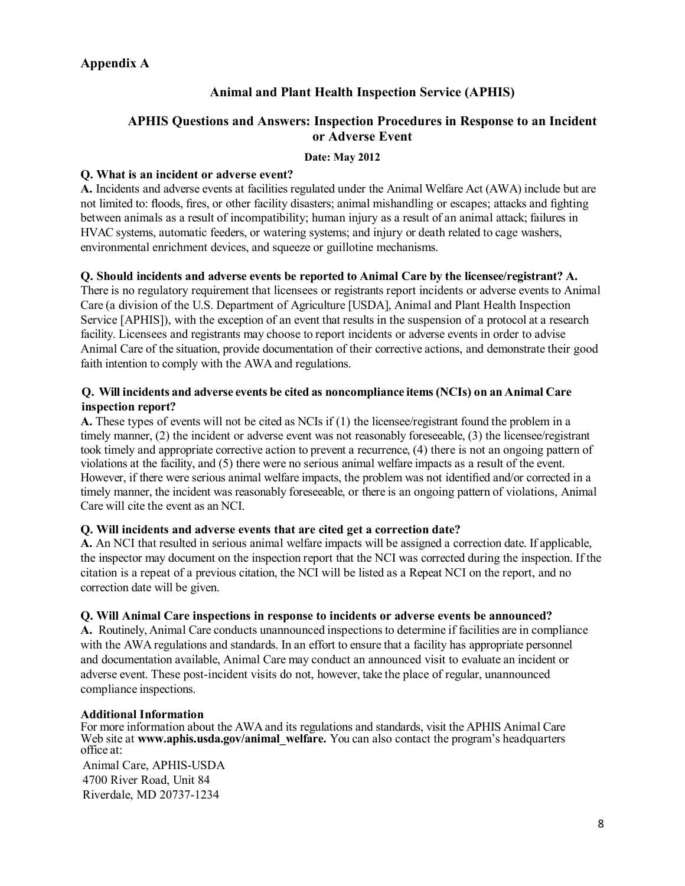### <span id="page-7-2"></span><span id="page-7-1"></span><span id="page-7-0"></span>**Appendix A**

## **Animal and Plant Health Inspection Service (APHIS)**

### **APHIS Questions and Answers: Inspection Procedures in Response to an Incident or Adverse Event**

#### **Date: May 2012**

### **Q. What is an incident or adverse event?**

**A.** Incidents and adverse events at facilities regulated under the Animal Welfare Act (AWA) include but are not limited to: floods, fires, or other facility disasters; animal mishandling or escapes; attacks and fighting between animals as a result of incompatibility; human injury as a result of an animal attack; failures in HVAC systems, automatic feeders, or watering systems; and injury or death related to cage washers, environmental enrichment devices, and squeeze or guillotine mechanisms.

### **Q. Should incidents and adverse events be reported to Animal Care by the licensee/registrant? A.**

There is no regulatory requirement that licensees or registrants report incidents or adverse events to Animal Care (a division of the U.S. Department of Agriculture [USDA], Animal and Plant Health Inspection Service [APHIS]), with the exception of an event that results in the suspension of a protocol at a research facility. Licensees and registrants may choose to report incidents or adverse events in order to advise Animal Care of the situation, provide documentation of their corrective actions, and demonstrate their good faith intention to comply with the AWA and regulations.

### **Q. Will incidents and adverse events be cited as noncompliance items (NCIs) on an Animal Care inspection report?**

**A.** These types of events will not be cited as NCIs if (1) the licensee/registrant found the problem in a timely manner, (2) the incident or adverse event was not reasonably foreseeable, (3) the licensee/registrant took timely and appropriate corrective action to prevent a recurrence, (4) there is not an ongoing pattern of violations at the facility, and (5) there were no serious animal welfare impacts as a result of the event. However, if there were serious animal welfare impacts, the problem was not identified and/or corrected in a timely manner, the incident was reasonably foreseeable, or there is an ongoing pattern of violations, Animal Care will cite the event as an NCI.

### **Q. Will incidents and adverse events that are cited get a correction date?**

**A.** An NCI that resulted in serious animal welfare impacts will be assigned a correction date. If applicable, the inspector may document on the inspection report that the NCI was corrected during the inspection. If the citation is a repeat of a previous citation, the NCI will be listed as a Repeat NCI on the report, and no correction date will be given.

### **Q. Will Animal Care inspections in response to incidents or adverse events be announced?**

**A.** Routinely, Animal Care conducts unannounced inspections to determine if facilities are in compliance with the AWA regulations and standards. In an effort to ensure that a facility has appropriate personnel and documentation available, Animal Care may conduct an announced visit to evaluate an incident or adverse event. These post-incident visits do not, however, take the place of regular, unannounced compliance inspections.

### **Additional Information**

For more information about the AWA and its regulations and standards, visit the APHIS Animal Care Web site at [www.aphis.usda.gov/animal\\_welfare.](http://www.aphis.usda.gov/animal_welfare) You can also contact the program's headquarters office at:

Animal Care, APHIS-USDA 4700 River Road, Unit 84 Riverdale, MD 20737-1234